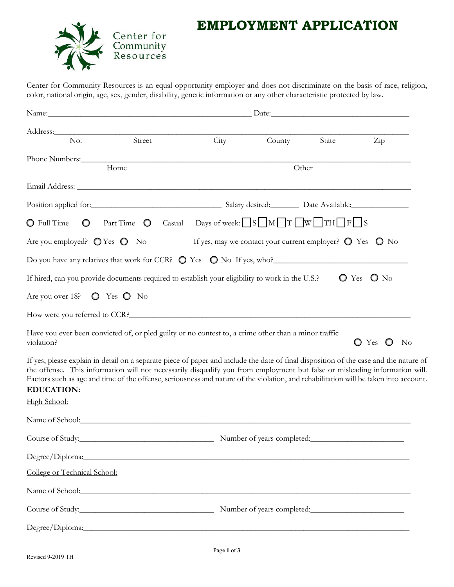

## **EMPLOYMENT APPLICATION**

Center for Community Resources is an equal opportunity employer and does not discriminate on the basis of race, religion, color, national origin, age, sex, gender, disability, genetic information or any other characteristic protected by law.

| Address: Andreas Address:<br>Street<br>No.                                                                                                                                                                                                                                                                                                                                                                                                        | City | County                                                                     | State | $\overline{Zip}$                  |
|---------------------------------------------------------------------------------------------------------------------------------------------------------------------------------------------------------------------------------------------------------------------------------------------------------------------------------------------------------------------------------------------------------------------------------------------------|------|----------------------------------------------------------------------------|-------|-----------------------------------|
|                                                                                                                                                                                                                                                                                                                                                                                                                                                   |      |                                                                            |       |                                   |
| Phone Numbers: 2008<br>Home                                                                                                                                                                                                                                                                                                                                                                                                                       |      | Other                                                                      |       |                                   |
|                                                                                                                                                                                                                                                                                                                                                                                                                                                   |      |                                                                            |       |                                   |
|                                                                                                                                                                                                                                                                                                                                                                                                                                                   |      |                                                                            |       |                                   |
| O Full Time $\bigcirc$ Part Time $\bigcirc$ Casual Days of week: $\Box S \Box M \Box T \Box W \Box TH \Box F \Box S$                                                                                                                                                                                                                                                                                                                              |      |                                                                            |       |                                   |
| Are you employed? $QYes Q$ No                                                                                                                                                                                                                                                                                                                                                                                                                     |      | If yes, may we contact your current employer? $\bigcirc$ Yes $\bigcirc$ No |       |                                   |
| Do you have any relatives that work for CCR? $\bigcirc$ Yes $\bigcirc$ No If yes, who?                                                                                                                                                                                                                                                                                                                                                            |      |                                                                            |       |                                   |
| If hired, can you provide documents required to establish your eligibility to work in the U.S.?                                                                                                                                                                                                                                                                                                                                                   |      |                                                                            |       | $O$ Yes $O$ No                    |
| Are you over 18? $\bullet$ Yes $\bullet$ No                                                                                                                                                                                                                                                                                                                                                                                                       |      |                                                                            |       |                                   |
| How were you referred to CCR?                                                                                                                                                                                                                                                                                                                                                                                                                     |      |                                                                            |       |                                   |
| Have you ever been convicted of, or pled guilty or no contest to, a crime other than a minor traffic<br>violation?                                                                                                                                                                                                                                                                                                                                |      |                                                                            |       | O Yes O<br>$\mathbf{N}\mathbf{o}$ |
| If yes, please explain in detail on a separate piece of paper and include the date of final disposition of the case and the nature of<br>the offense. This information will not necessarily disqualify you from employment but false or misleading information will.<br>Factors such as age and time of the offense, seriousness and nature of the violation, and rehabilitation will be taken into account.<br><b>EDUCATION:</b><br>High School: |      |                                                                            |       |                                   |
| Name of School:                                                                                                                                                                                                                                                                                                                                                                                                                                   |      |                                                                            |       |                                   |
| Course of Study:                                                                                                                                                                                                                                                                                                                                                                                                                                  |      | Number of years completed:                                                 |       |                                   |
|                                                                                                                                                                                                                                                                                                                                                                                                                                                   |      |                                                                            |       |                                   |
| College or Technical School:                                                                                                                                                                                                                                                                                                                                                                                                                      |      |                                                                            |       |                                   |
| Name of School: Name of School:                                                                                                                                                                                                                                                                                                                                                                                                                   |      |                                                                            |       |                                   |
|                                                                                                                                                                                                                                                                                                                                                                                                                                                   |      |                                                                            |       |                                   |
|                                                                                                                                                                                                                                                                                                                                                                                                                                                   |      |                                                                            |       |                                   |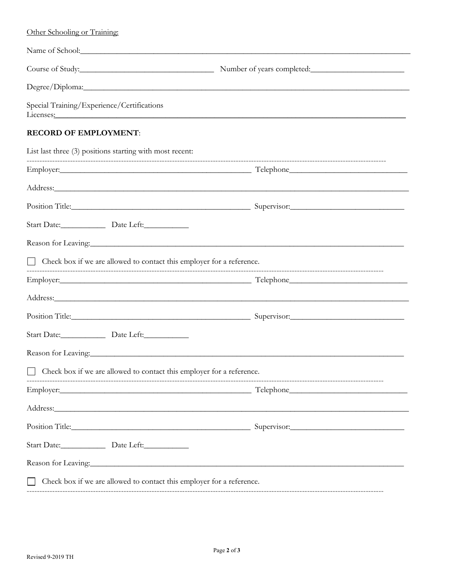| Other Schooling or Training:                                                                                                                                                                                                   |                                                                                                                                                                                                                                |
|--------------------------------------------------------------------------------------------------------------------------------------------------------------------------------------------------------------------------------|--------------------------------------------------------------------------------------------------------------------------------------------------------------------------------------------------------------------------------|
|                                                                                                                                                                                                                                | Name of School: Name of School:                                                                                                                                                                                                |
|                                                                                                                                                                                                                                |                                                                                                                                                                                                                                |
|                                                                                                                                                                                                                                |                                                                                                                                                                                                                                |
| Special Training/Experience/Certifications                                                                                                                                                                                     | Licenses: National Communication of the Communication of the Communication of the Communication of the Communication of the Communication of the Communication of the Communication of the Communication of the Communication  |
| <b>RECORD OF EMPLOYMENT:</b>                                                                                                                                                                                                   |                                                                                                                                                                                                                                |
| List last three (3) positions starting with most recent:                                                                                                                                                                       |                                                                                                                                                                                                                                |
|                                                                                                                                                                                                                                | Employer: Telephone Telephone Telephone Telephone Telephone Telephone Telephone Telephone Telephone Telephone Telephone Telephone Telephone Telephone Telephone Telephone Telephone Telephone Telephone Telephone Telephone Te |
|                                                                                                                                                                                                                                |                                                                                                                                                                                                                                |
|                                                                                                                                                                                                                                | Position Title: Supervisor: Supervisor: Supervisor: Supervisor:                                                                                                                                                                |
|                                                                                                                                                                                                                                |                                                                                                                                                                                                                                |
|                                                                                                                                                                                                                                | Reason for Leaving: 1996. The contract of the contract of the contract of the contract of the contract of the contract of the contract of the contract of the contract of the contract of the contract of the contract of the  |
| □ Check box if we are allowed to contact this employer for a reference.                                                                                                                                                        |                                                                                                                                                                                                                                |
|                                                                                                                                                                                                                                |                                                                                                                                                                                                                                |
|                                                                                                                                                                                                                                | Address: Andreas Address: Address: Address: Address: Address: Address: Address: Address: Address: Address: Address: Address: Address: Address: Address: Address: Address: Address: Address: Address: Address: Address: Address |
|                                                                                                                                                                                                                                | Position Title: Source of the Contract of the Contract of the Contract of the Contract of the Contract of the Contract of the Contract of the Contract of the Contract of the Contract of the Contract of the Contract of the  |
|                                                                                                                                                                                                                                |                                                                                                                                                                                                                                |
| Reason for Leaving: and the contract of the contract of the contract of the contract of the contract of the contract of the contract of the contract of the contract of the contract of the contract of the contract of the co |                                                                                                                                                                                                                                |
| Check box if we are allowed to contact this employer for a reference.                                                                                                                                                          |                                                                                                                                                                                                                                |
|                                                                                                                                                                                                                                | Employer: Telephone Telephone Telephone Telephone Telephone Telephone Telephone Telephone Telephone Telephone Telephone Telephone Telephone Telephone Telephone Telephone Telephone Telephone Telephone Telephone Telephone Te |
| Address: Andreas Address: Address: Address: Address: Address: Address: Address: Address: Address: Address: Address: Address: Address: Address: Address: Address: Address: Address: Address: Address: Address: Address: Address |                                                                                                                                                                                                                                |
|                                                                                                                                                                                                                                | Position Title: Supervisor: Supervisor: Supervisor: Supervisor:                                                                                                                                                                |
| Start Date: Date Left:                                                                                                                                                                                                         |                                                                                                                                                                                                                                |
| Reason for Leaving: 1997 and 2008 and 2008 and 2008 and 2008 and 2008 and 2008 and 2008 and 2008 and 2008 and 2008 and 2008 and 2008 and 2008 and 2008 and 2008 and 2008 and 2008 and 2008 and 2008 and 2008 and 2008 and 2008 |                                                                                                                                                                                                                                |
| Check box if we are allowed to contact this employer for a reference.                                                                                                                                                          |                                                                                                                                                                                                                                |
|                                                                                                                                                                                                                                | -----------------------                                                                                                                                                                                                        |